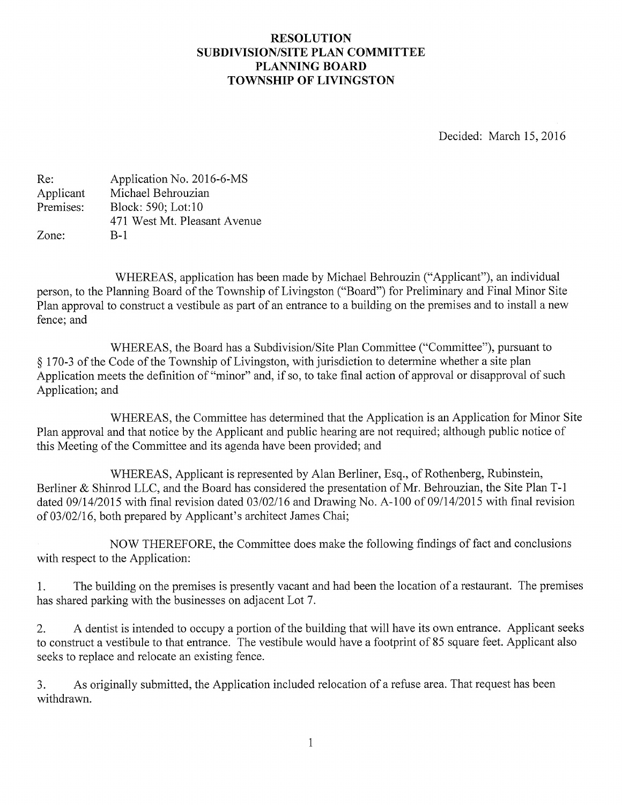## RESOLUTION SUBDIVISION/SITE PLAN COMMITTEE PLANNING BOARD TOWNSHIP OF LIVINGSTON

Decided: March 15, 2016

| Re:       | Application No. 2016-6-MS    |
|-----------|------------------------------|
| Applicant | Michael Behrouzian           |
| Premises: | Block: 590; Lot:10           |
|           | 471 West Mt. Pleasant Avenue |
| Zone:     | B-1                          |

WHEREAS, application has been made by Michael Behrouzin ("Applicant"), an individual person, to the Planning Board of the Township of Livingston ("Board") for Preliminary and Final Minor Site Plan approval to construct a vestibule as part of an entrance to <sup>a</sup> building on the premises and to install <sup>a</sup> new fence; and

WHEREAS, the Board has a Subdivision/Site Plan Committee ("Committee"), pursuant to § 170-3 of the Code of the Township of Livingston, with jurisdiction to determine whether <sup>a</sup> site plan Application meets the definition of "minor" and, if so, to take final action of approval or disapproval of such Application; and

WHEREAS, the Committee has determined that the Application is an Application for Minor Site Plan approval and that notice by the Applicant and public hearing are not required; although public notice of this Meeting of the Committee and its agenda have been provided; and

WHEREAS, Applicant is represented by Alan Berliner, Esq., of Rothenberg, Rubinstein, Berliner & Shinrod LLC, and the Board has considered the presentation of Mr. Behrouzian, the Site Plan T-1 dated 09/14/2015 with final revision dated 03/02/16 and Drawing No. A-100 of 09/14/2015 with final revision of 03/02/16, both prepared by Applicant's architect James Chai;

NOW THEREFORE, the Committee does make the following findings of fact and conclusions with respect to the Application:

1. The building on the premises is presently vacant and had been the location of <sup>a</sup> restaurant. The premises has shared parking with the businesses on adjacent Lot 7.

2. A dentist is intended to occupy <sup>a</sup> portion of the building that will have its own entrance. Applicant seeks to construct <sup>a</sup> vestibule to that entrance. The vestibule would have <sup>a</sup> footprint of 85 square feet. Applicant also seeks to replace and relocate an existing fence.

3. As originally submitted, the Application included relocation of <sup>a</sup> refuse area. That request has been withdrawn.